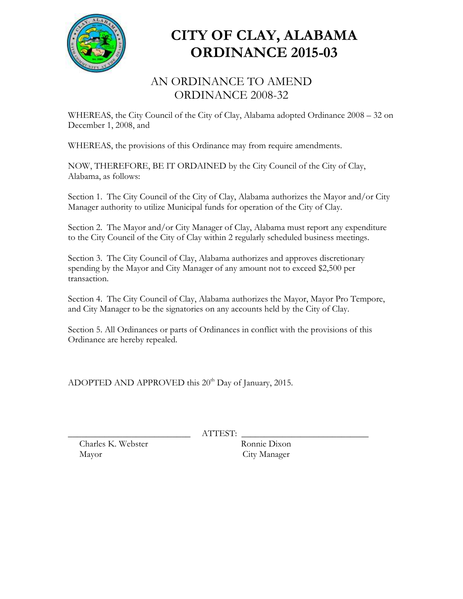

## **CITY OF CLAY, ALABAMA ORDINANCE 2015-03**

## AN ORDINANCE TO AMEND ORDINANCE 2008-32

WHEREAS, the City Council of the City of Clay, Alabama adopted Ordinance 2008 – 32 on December 1, 2008, and

WHEREAS, the provisions of this Ordinance may from require amendments.

NOW, THEREFORE, BE IT ORDAINED by the City Council of the City of Clay, Alabama, as follows:

Section 1. The City Council of the City of Clay, Alabama authorizes the Mayor and/or City Manager authority to utilize Municipal funds for operation of the City of Clay.

Section 2. The Mayor and/or City Manager of Clay, Alabama must report any expenditure to the City Council of the City of Clay within 2 regularly scheduled business meetings.

Section 3. The City Council of Clay, Alabama authorizes and approves discretionary spending by the Mayor and City Manager of any amount not to exceed \$2,500 per transaction.

Section 4. The City Council of Clay, Alabama authorizes the Mayor, Mayor Pro Tempore, and City Manager to be the signatories on any accounts held by the City of Clay.

Section 5. All Ordinances or parts of Ordinances in conflict with the provisions of this Ordinance are hereby repealed.

ADOPTED AND APPROVED this  $20<sup>th</sup>$  Day of January, 2015.

 $ATTEST:$ 

 Charles K. Webster Ronnie Dixon Mayor City Manager